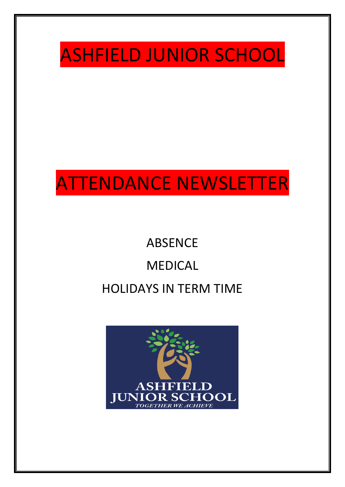

## ATTENDANCE NEWSLETTER

# ABSENCE MEDICAL HOLIDAYS IN TERM TIME

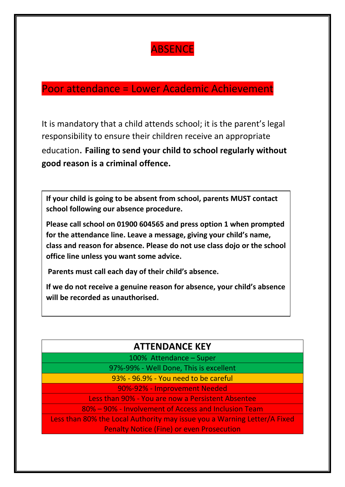## **ABSENCE**

#### Poor attendance = Lower Academic Achievement

It is mandatory that a child attends school; it is the parent's legal responsibility to ensure their children receive an appropriate education. **Failing to send your child to school regularly without good reason is a criminal offence.**

**If your child is going to be absent from school, parents MUST contact school following our absence procedure.** 

**Please call school on 01900 604565 and press option 1 when prompted for the attendance line. Leave a message, giving your child's name, class and reason for absence. Please do not use class dojo or the school office line unless you want some advice.**

**Parents must call each day of their child's absence.** 

**If we do not receive a genuine reason for absence, your child's absence will be recorded as unauthorised.**

#### **ATTENDANCE KEY**

100% Attendance – Super

97%-99% - Well Done, This is excellent

93% - 96.9% - You need to be careful

90%-92% - Improvement Needed

Less than 90% - You are now a Persistent Absentee

80% – 90% - Involvement of Access and Inclusion Team

Less than 80% the Local Authority may issue you a Warning Letter/A Fixed Penalty Notice (Fine) or even Prosecution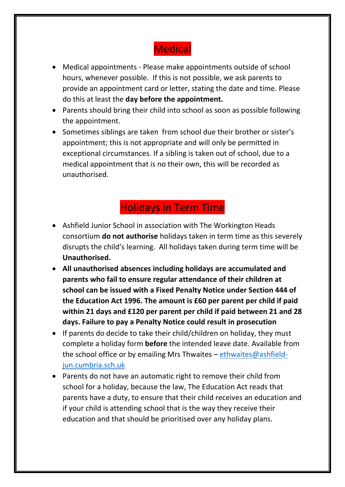## **Medical**

- Medical appointments Please make appointments outside of school hours, whenever possible. If this is not possible, we ask parents to provide an appointment card or letter, stating the date and time. Please do this at least the **day before the appointment.**
- Parents should bring their child into school as soon as possible following the appointment.
- Sometimes siblings are taken from school due their brother or sister's appointment; this is not appropriate and will only be permitted in exceptional circumstances. If a sibling is taken out of school, due to a medical appointment that is no their own, this will be recorded as unauthorised.

### Holidays in Term Time

- Ashfield Junior School in association with The Workington Heads consortium **do not authorise** holidays taken in term time as this severely disrupts the child's learning. All holidays taken during term time will be **Unauthorised.**
- **All unauthorised absences including holidays are accumulated and parents who fail to ensure regular attendance of their children at school can be issued with a Fixed Penalty Notice under Section 444 of the Education Act 1996. The amount is £60 per parent per child if paid within 21 days and £120 per parent per child if paid between 21 and 28 days. Failure to pay a Penalty Notice could result in prosecution**
- If parents do decide to take their child/children on holiday, they must complete a holiday form **before** the intended leave date. Available from the school office or by emailing Mrs Thwaites – ethwaites @ashfield[jun.cumbria.sch.uk](mailto:ethwaites@ashfield-jun.cumbria.sch.uk)
- Parents do not have an automatic right to remove their child from school for a holiday, because the law, The Education Act reads that parents have a duty, to ensure that their child receives an education and if your child is attending school that is the way they receive their education and that should be prioritised over any holiday plans.